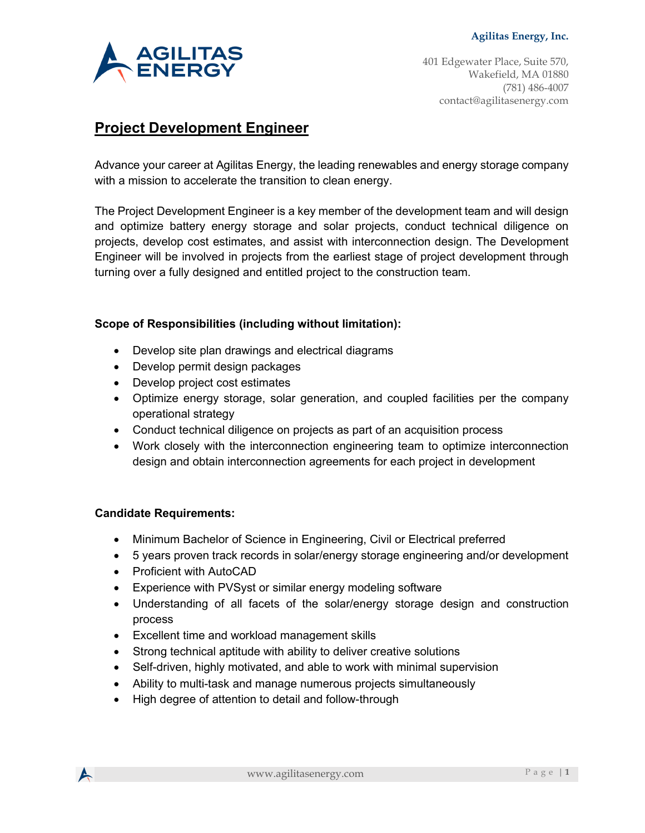

# **Project Development Engineer**

Advance your career at Agilitas Energy, the leading renewables and energy storage company with a mission to accelerate the transition to clean energy.

The Project Development Engineer is a key member of the development team and will design and optimize battery energy storage and solar projects, conduct technical diligence on projects, develop cost estimates, and assist with interconnection design. The Development Engineer will be involved in projects from the earliest stage of project development through turning over a fully designed and entitled project to the construction team.

## **Scope of Responsibilities (including without limitation):**

- Develop site plan drawings and electrical diagrams
- Develop permit design packages
- Develop project cost estimates
- Optimize energy storage, solar generation, and coupled facilities per the company operational strategy
- Conduct technical diligence on projects as part of an acquisition process
- Work closely with the interconnection engineering team to optimize interconnection design and obtain interconnection agreements for each project in development

#### **Candidate Requirements:**

- Minimum Bachelor of Science in Engineering, Civil or Electrical preferred
- 5 years proven track records in solar/energy storage engineering and/or development
- Proficient with AutoCAD
- Experience with PVSyst or similar energy modeling software
- Understanding of all facets of the solar/energy storage design and construction process
- Excellent time and workload management skills
- Strong technical aptitude with ability to deliver creative solutions
- Self-driven, highly motivated, and able to work with minimal supervision
- Ability to multi-task and manage numerous projects simultaneously
- High degree of attention to detail and follow-through